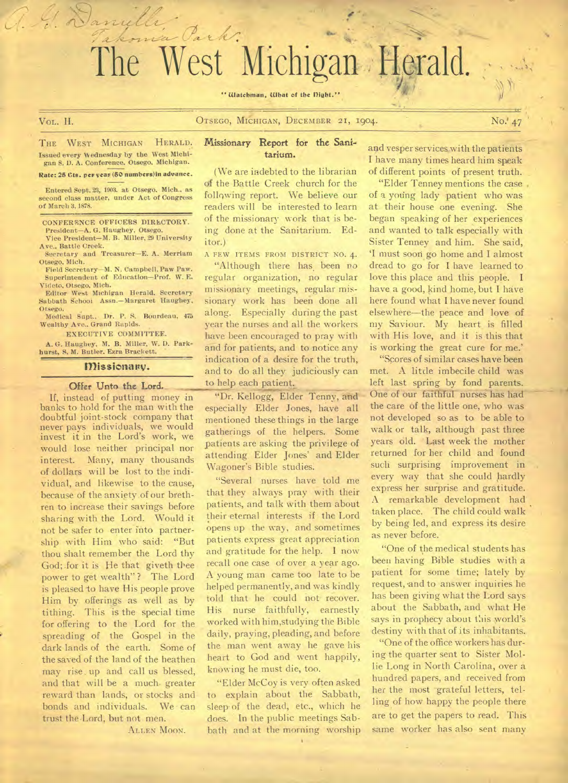# he West Michigan Herald.

 $\mathcal{O}_{\bm{a}}$ 

" Watchman, What of the Dight."

a. G. Danielle

VOL. II. **OTSEGO, MICHIGAN, DECEMBER 21, 1904.** No.' 47

THE WEST MICHIGAN HERALD. Issued every Wednesday by the West Michigan S. 1). A. Conference, Otsego, Michigan.

Rate: 25 Cts. per yeas (50 numbens)in advance.

Entered Sept. 23, 1903. at Otsego. Mich.. as second class matter, under Act of Congress of March 3,1878.

CONFERENCE OFFICERS DIRECTORY. President—A. G. Haughey, Otsego.

Vice President—M. B. Miller, 29 University Ave., Battle Creek. Secretary and Treasurer—E. A. Merriam

Otsego, Mich. Field Secretary—M. N. Campbell, Paw Paw.

Superintendent of Education-Prof. W. E. Videto, Otsego, Mich.

Editor West Michigan Herald. Secretary Sabbath School Assn.—Margaret Haughey, Otsego,

Medical Supt., Dr. P. S. Bourdeau, 475 Wealthy Ave.. Grand Rapids.

EXECUTIVE COMMITTEE.

A. G. Haughey, M. **B.** Miller, W. D. Parkhurst, S. M. Butler. Ezra Brackett.

#### Missionanv.

#### Offer Unto the Lord.

If, instead of putting money in banks to hold for the man with the doubtful joint-stock company that never pays individuals, we would invest it in the Lord's work, we would lose neither principal nor interest. Many, many thousands of dollars will be lost to the individual, and likewise to the cause, because of the anxiety of our brethren to increase their savings before sharing with the Lord. Would it not be safer to enter into partnership with Him who said: "But thou shalt remember the Lord thy God; for it is He that giveth thee power to get wealth" ? The Lord is pleased to have His people prove Him by offerings as well as by tithing. This is the special time for offering to the Lord for the spreading of the Gospel in the dark lands of the earth. Some of the saved of the land of the heathen may rise up and call us blessed, and that will be a much. greater reward than lands, or stocks and bonds and individuals. We can trust the Lord, but not men.

ALLEN MOON.

#### Missionary Report for the Sanitarium.

(We are indebted to the librarian of the Battle Creek church for the following report. We believe our readers will be interested to learn of the missionary work that is being done at the Sanitarium. Editor.)

A FEW ITEMS FROM DISTRICT NO. 4.

"Although there has been no regular organization, no regular missionary meetings, regular missionary work has been done all along. Especially during the past year the nurses and all the workers have been encouraged to pray with and for patients, and to notice any indication of a desire for the truth, and to do all they judiciously can to help each patient.

"Dr. Kellogg, Elder Tenny, and- especially Elder Jones, have all mentioned these things in the large gatherings of the helpers. Some patients are asking the privilege of attending. Elder Jones' and Elder Wagoner's Bible studies.

"Several nurses have told me that they always pray with their patients, and talk with them about their-eternal interests if the Lord opens up the way, and sometimes patients express great appreciation and gratitude for the help. I now recall one case of over a year ago. A young man came too late to be helped permanently, and was kindly told that he could not- recover. His nurse faithfully, earnestly worked with him,studying the Bible daily, praying, pleading, and before the man went away he gave his heart to God and went happily, knowing he must die, too.

"Elder McCoy is very often asked to explain about the Sabbath, sleep of the dead, etc., which he does. In the public meetings Sabbath and at the morning worship

and vesper services with the patients I have many times heard him speak of different points of present truth.

"Elder Tenney mentions the case , of a young lady patient who was at their house one evening. She began speaking of her experiences and wanted to talk especially with Sister Tenney and him. She said, `I must soon go home and I almost dread to go for I have learned to love this place and this people. I have a good, kind home, but I have here found what I have never found elsewhere—the peace and love of my Saviour. My heart is filled with His love, and it is this that is working the great cure for me.'

"Scores of similar cases have been met. A little imbecile child was left last spring by fond parents. One of our faithful nurses has had the care of the little one, who was not developed so as to be able to walk or talk, although past three years old. Last week the mother returned for her child and found such surprising improvement in every way that she could hardly express her surprise and gratitude. A remarkable development had taken place. The child could walk by being led, and express its desire as never before.

"One of the medical students has been having Bible studies with a patient for some time; lately by request, and to answer inquiries he has been giving what the Lord says about the Sabbath, and what He says in prophecy about this world's destiny with that of its inhabitants.

"One of the office workers has during the quarter sent to Sister Mollie Long in North Carolina, over a hundred papers, and received from her the most grateful letters, telling of how happy the people there are to get the papers to read. This same worker has also sent many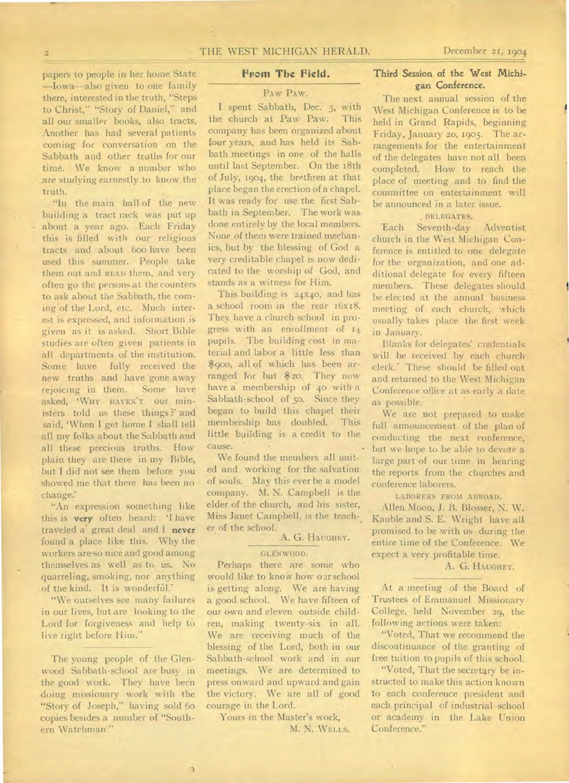papers to people in her home State —Iowa—also given to one family there, interested in the truth, "Steps to Christ," "Story of Daniel," and all our smaller books, also tracts. Another has had several patients coming for conversation on the Sabbath and other truths for our time. We know a number who are studying earnestly to know the truth.

"In the main hall of the new building a tract rack was put up about a year ago. Each Friday this is filled with our religious tracts and about 600 have been used this summer. People take them out and READ them, and very often go the persons at the counters to ask about the Sabbath, the coming of the Lord, etc. Much interest is expressed, and information is given as it is asked. Short. Bible studies are often given patients in all departments of the institution. Some have fully received the new truths and have gone away rejoicing in them. Some have asked, 'WHY HAVEN'T our ministers told us these things ?' and said, 'When I get home I shall tell all my folks about the Sabbath and all these precious truths. How plain they are there in my Bible, but I did not see them before you showed me that there has been no change.'

"An expression something like this is **very** often heard: 'I have traveled a' great deal and I **never**  found a place like this. Why the workers are•so nice and good among themselves as well as to us. No quarreling, smoking, nor anything of the kind. It is wonderfiil.'

"We ourselves see many failures in our lives, but are looking to the Lord for forgiveness and help to live right before Him."

The young people of the Glenwood Sabbath-school are busy in the good work. They have been doing missionary work with the "Story of Joseph," having sold 6o copies besides a number of "Southern Watchman."

#### **From The Field.**

#### PAW PAW.

I.spent Sabbath, Dec. 3, with the church at Paw Paw. This company has been organized about four years, and has held its Sabbath meetings in one of the halls until last September. On the 18th of July, 1904, the brethren at that place began the erection of a chapel. It was ready for use the first Sabbath in September. The work was done entirely by the local members. None of them were trained mechanics, but by the blessing of God a very creditable chapel is now dedicated to the worship of God, and stands as a witness for Him.

This building is 24x4o, and has a school room in the rear 16x18. They, have a church-school in progress with an enrollment of 14 pupils. The building cost in material and labor a little less than \$900, all of which has been arranged for but \$20.. They now have a membership of 40 with a Sabbath-school of 5o. Since they began to build this chapel their membership has doubled. This little building is a credit to the cause. -

We found the members all united and working for the salvation of souls. May this ever be a model company. M. N. Campbell is the elder of the church, and his sister, Miss Janet Campbell, is the teacher of the school.

#### A. G. HAUGHEY.

#### GLENWOOD.

Perhaps there are some who would like to know how oar school is getting along. We are having a good school. We have fifteen of our own and eleven outside children, making twenty-six in all. We are receiving much of the blessing of the Lord, both in our Sabbath-school work and in our meetings. We are determined to press onward and upward and gain the victory. We are all of good courage in the Lord. •

Yours in the Master's work, M. N. WELLS.

#### **Third Session of the West Michigan Conference.**

The next annual session of the West Michigan Conference is to be held in Grand Rapids, beginning Friday, January 20, I905. The arrangements for the entertainment of the delegates have not all been completed. How to reach the place of meeting and to find the committee on entertainment will be announced in a later issue.

#### DELEGATES.

'Each Seventh-day Adventist church in the West Michigan Conference is entitled to one delegate for the organization, and one additional delegate for every fifteen members. These delegates should be elected at the annual business meeting of each church, which usually takes place the first week in January.

Blanks for delegates' credentials will be received by each church clerk.' These should be filled out and returned to the West Michigan Conference office at as early a dale as possible.

We are not prepared to make full announcement of the plan of conducting the next conference, but we hope to be able to devote a large part of our time in hearing the reports from the churches and conference laborers.

LABORERS FROM ABROAD.

Allen Moon, J. B. Blosser, N. W. Kauble and S. E. Wright have all promised to be with us during the entire time of the Conference. We expect a very profitable time.

#### A. G. HAUGHEY.

At a meeting of the Board of Trustees of Emmanuel Missionary College, held November 29, the following actions were taken:

"Voted, That we recommend the discontinuance of the granting of free tuition to pupils of this school.

"Voted, That the secretary be instructed to make this action known to each conference president and each principal of industrial school or academy in the Lake Union Conference."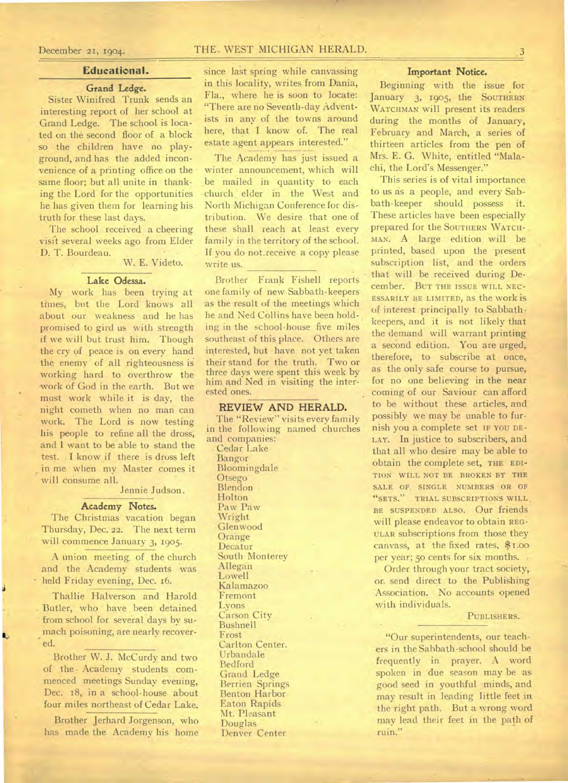#### **Educational.**

### Grand Ledge.

Sister Winifred Trunk sends an interesting report of her school at Grand Ledge. The school is located on the second floor of a block so the children have no playground, and has the added inconvenience of a printing office on the same floor; but all unite in thanking the Lord for the opportunities he has given them for learning his truth for these last days.

The school received a cheering visit several weeks ago from Elder D. T. Bourdeau.

W. E. Videto.

#### **Lake Odessa.**

My work has been trying at times, but the Lord knows all about our weakness and he has promised to gird us with strength if we will but trust him. Though the cry of peace is on every hand the enemy of all righteousness is working hard to overthrow the -work of God in the earth. But we must work while it is day, the night cometh when no man can work. The Lord is now testing his people to refine all the dross, and I want to be able to stand the test. . I know if there is dross left in me when my Master comes it will consume all.

Jennie Judson.

#### **Academy Notes.**

The Christmas vacation began Thursday, Dec. 22. The next term will commence January 3, 1905.

A union meeting of the church and the Academy students was held Friday evening, Dec. 16.

Thallie Halverson and Harold . Butler, who have been detained from school for several days by sumach poisoning, are nearly recovered.

Brother W. J. McCurdy and two of the Academy students commenced meetings Sunday evening, Dec. 18, in a school-house about four miles northeast of Cedar Lake.

Brother Jerhard Jorgenson, who has made the Academy his home

## December 21, 1904. THE. WEST MICHIGAN HERALD. 3

since last spring while canvassing in this locality, writes from Dania, Fla., where he is soon to locate: "There are no Seventh-day Adventists in any of the towns around here, that I know of. The real estate agent appears interested."

The Academy has just issued a winter announcement, which will be mailed in quantity to each -church elder in the West and North Michigan Conference for distribution. We desire that one of these shall reach at least every family in the territory of the school. If you do not.receive a copy please write us.

• Brother Frank Fishell reports one family of new Sabbath-keepers as the result of the meetings which he and Ned Collins have been holding in the school-house five miles southeast of this place. Others are interested, but have not yet taken their stand for the truth. Two or three days were spent this week by him and Ned in visiting the interested ones.

#### **REVIEW AND HERALD.**

The "Review" visits every family in the following named churches and companies:

Cedar Lake Bangor Bloomingdale Otsego Blendon Holton Paw Paw Wright Glenwood Orange Decatur South Monterey Allegan Lowell Kalamazoo Fremont Lyons Carson City Bushnell Frost Carlton Center. Urbandale Bedford Grand Ledge Berrien Springs Benton Harbor Eaton Rapids Mt. Pleasant Douglas Denver Center

#### Important Notice.

Beginning with the issue for January 3, 1905, the SOUTHERN WATCHMAN will present its readers during the months of January, February and March, a series of thirteen articles from the pen of Mrs. E. G. White, entitled "Malachi, the Lord's Messenger."

This series is of vital importance to us as a people, and every Sabbath-keeper should possess it. These articles have been especially prepared for the SOUTHERN WATCH-MAN. A large edition will be printed, based upon the present subscription list, and the orders that will be received during December. BUT THE ISSUE WILL NEC-ESSARILY BE LIMITED, as the work iS of interest principally to Sabbath• keepers, and it is not likely that the demand will warrant printing a second edition. You are urged, therefore, to subscribe at once, as the only safe course to pursue, for no one believing in the near coming of our Saviour can afford to be without these articles, and possibly we may be unable to furnish you a complete set IF YOU DE-LAY. **In** justice to subscribers, and that all who desire may be able to obtain the complete set, THE EDI-TION WILL NOT BE BROKEN BY THE SALE OF, SINGLE NUMBERS OR OF "SETS." TRIAL SUBSCRIPTIONS WILL, BE SUSPENDED ALSO. Our friends will please endeavor to obtain REG-ULAR subscriptions from those they canvass, at the fixed rates, \$1.00 per year; 50 cents for six months.

Order through your tract society, or. send direct to the Publishing Association. No accounts opened with individuals.

#### PUBLISHERS.

"Our superintendents, our teachers in the Sabbath-school should be frequently in prayer. A word spoken in due season may be as good seed in youthful minds, and may result in leading little feet in the right path. But a wrong word may lead their feet in the path of ruin."